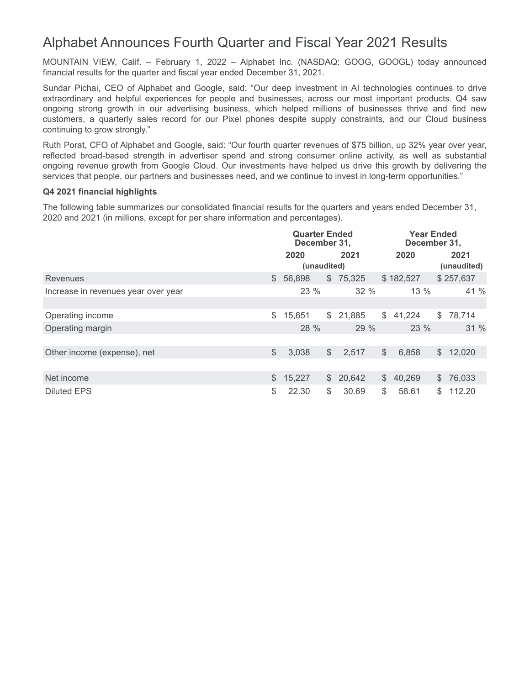# Alphabet Announces Fourth Quarter and Fiscal Year 2021 Results

MOUNTAIN VIEW, Calif. – February 1, 2022 – Alphabet Inc. (NASDAQ: GOOG, GOOGL) today announced financial results for the quarter and fiscal year ended December 31, 2021.

Sundar Pichai, CEO of Alphabet and Google, said: "Our deep investment in AI technologies continues to drive extraordinary and helpful experiences for people and businesses, across our most important products. Q4 saw ongoing strong growth in our advertising business, which helped millions of businesses thrive and find new customers, a quarterly sales record for our Pixel phones despite supply constraints, and our Cloud business continuing to grow strongly."

Ruth Porat, CFO of Alphabet and Google, said: "Our fourth quarter revenues of \$75 billion, up 32% year over year, reflected broad-based strength in advertiser spend and strong consumer online activity, as well as substantial ongoing revenue growth from Google Cloud. Our investments have helped us drive this growth by delivering the services that people, our partners and businesses need, and we continue to invest in long-term opportunities."

### **Q4 2021 financial highlights**

The following table summarizes our consolidated financial results for the quarters and years ended December 31, 2020 and 2021 (in millions, except for per share information and percentages).

|                                     |              | <b>Quarter Ended</b><br>December 31, |    |          | <b>Year Ended</b><br>December 31, |           |                |                     |
|-------------------------------------|--------------|--------------------------------------|----|----------|-----------------------------------|-----------|----------------|---------------------|
|                                     |              | 2020<br>(unaudited)                  |    | 2021     |                                   | 2020      |                | 2021<br>(unaudited) |
| Revenues                            |              | \$56,898                             |    | \$75,325 |                                   | \$182,527 |                | \$257,637           |
| Increase in revenues year over year |              | $23\%$                               |    | $32\%$   |                                   | $13\%$    |                | 41 %                |
|                                     |              |                                      |    |          |                                   |           |                |                     |
| Operating income                    | \$           | 15,651                               |    | \$21,885 | \$                                | 41,224    | $\mathcal{L}$  | 78,714              |
| Operating margin                    |              | 28 %                                 |    | 29 %     |                                   | 23 %      |                | 31%                 |
|                                     |              |                                      |    |          |                                   |           |                |                     |
| Other income (expense), net         | $\mathbb{S}$ | 3,038                                | \$ | 2,517    | $\mathcal{S}$                     | 6,858     | $\mathbb{S}^-$ | 12,020              |
|                                     |              |                                      |    |          |                                   |           |                |                     |
| Net income                          |              | \$15,227                             |    | \$20,642 |                                   | \$40,269  |                | \$76,033            |
| <b>Diluted EPS</b>                  | \$           | 22.30                                | \$ | 30.69    | \$                                | 58.61     | \$.            | 112.20              |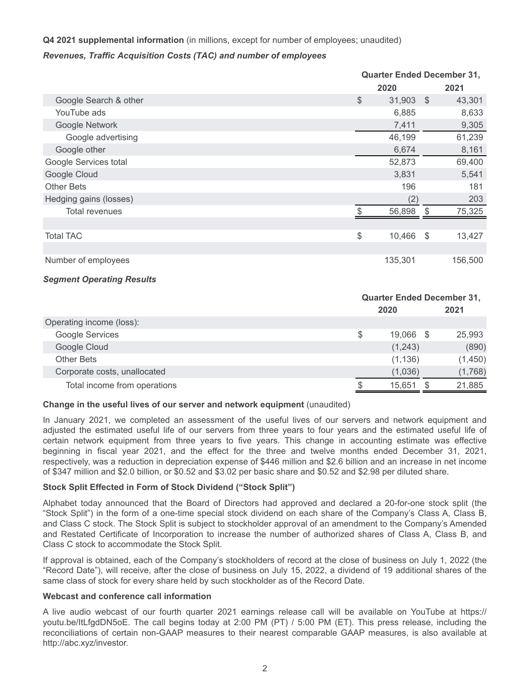## **Q4 2021 supplemental information** (in millions, except for number of employees; unaudited)

## *Revenues, Traffic Acquisition Costs (TAC) and number of employees*

|                        | <b>Quarter Ended December 31,</b> |      |         |
|------------------------|-----------------------------------|------|---------|
|                        | 2020                              |      | 2021    |
| Google Search & other  | $\$\$<br>31,903                   | - \$ | 43,301  |
| YouTube ads            | 6,885                             |      | 8,633   |
| Google Network         | 7,411                             |      | 9,305   |
| Google advertising     | 46,199                            |      | 61,239  |
| Google other           | 6,674                             |      | 8,161   |
| Google Services total  | 52,873                            |      | 69,400  |
| Google Cloud           | 3,831                             |      | 5,541   |
| <b>Other Bets</b>      | 196                               |      | 181     |
| Hedging gains (losses) | (2)                               |      | 203     |
| <b>Total revenues</b>  | 56,898                            | S    | 75,325  |
|                        |                                   |      |         |
| <b>Total TAC</b>       | \$<br>10,466                      | - \$ | 13,427  |
|                        |                                   |      |         |
| Number of employees    | 135,301                           |      | 156,500 |
|                        |                                   |      |         |

### *Segment Operating Results*

|                              | <b>Quarter Ended December 31,</b> |      |         |  |  |
|------------------------------|-----------------------------------|------|---------|--|--|
|                              | 2020                              |      | 2021    |  |  |
| Operating income (loss):     |                                   |      |         |  |  |
| Google Services              | \$<br>19,066                      | - \$ | 25,993  |  |  |
| Google Cloud                 | (1,243)                           |      | (890)   |  |  |
| <b>Other Bets</b>            | (1, 136)                          |      | (1,450) |  |  |
| Corporate costs, unallocated | (1,036)                           |      | (1,768) |  |  |
| Total income from operations | 15,651                            |      | 21,885  |  |  |

### **Change in the useful lives of our server and network equipment** (unaudited)

In January 2021, we completed an assessment of the useful lives of our servers and network equipment and adjusted the estimated useful life of our servers from three years to four years and the estimated useful life of certain network equipment from three years to five years. This change in accounting estimate was effective beginning in fiscal year 2021, and the effect for the three and twelve months ended December 31, 2021, respectively, was a reduction in depreciation expense of \$446 million and \$2.6 billion and an increase in net income of \$347 million and \$2.0 billion, or \$0.52 and \$3.02 per basic share and \$0.52 and \$2.98 per diluted share.

## **Stock Split Effected in Form of Stock Dividend ("Stock Split")**

Alphabet today announced that the Board of Directors had approved and declared a 20-for-one stock split (the "Stock Split") in the form of a one-time special stock dividend on each share of the Company's Class A, Class B, and Class C stock. The Stock Split is subject to stockholder approval of an amendment to the Company's Amended and Restated Certificate of Incorporation to increase the number of authorized shares of Class A, Class B, and Class C stock to accommodate the Stock Split.

If approval is obtained, each of the Company's stockholders of record at the close of business on July 1, 2022 (the "Record Date"), will receive, after the close of business on July 15, 2022, a dividend of 19 additional shares of the same class of stock for every share held by such stockholder as of the Record Date.

### **Webcast and conference call information**

A live audio webcast of our fourth quarter 2021 earnings release call will be available on YouTube at https:// youtu.be/ItLfgdDN5oE. The call begins today at 2:00 PM (PT) / 5:00 PM (ET). This press release, including the reconciliations of certain non-GAAP measures to their nearest comparable GAAP measures, is also available at http://abc.xyz/investor.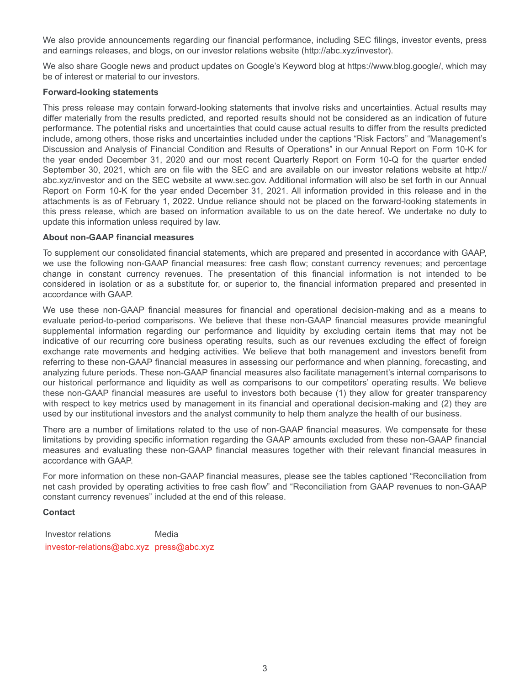We also provide announcements regarding our financial performance, including SEC filings, investor events, press and earnings releases, and blogs, on our investor relations website (http://abc.xyz/investor).

We also share Google news and product updates on Google's Keyword blog at https://www.blog.google/, which may be of interest or material to our investors.

## **Forward-looking statements**

This press release may contain forward-looking statements that involve risks and uncertainties. Actual results may differ materially from the results predicted, and reported results should not be considered as an indication of future performance. The potential risks and uncertainties that could cause actual results to differ from the results predicted include, among others, those risks and uncertainties included under the captions "Risk Factors" and "Management's Discussion and Analysis of Financial Condition and Results of Operations" in our Annual Report on Form 10-K for the year ended December 31, 2020 and our most recent Quarterly Report on Form 10-Q for the quarter ended September 30, 2021, which are on file with the SEC and are available on our investor relations website at http:// abc.xyz/investor and on the SEC website at www.sec.gov. Additional information will also be set forth in our Annual Report on Form 10-K for the year ended December 31, 2021. All information provided in this release and in the attachments is as of February 1, 2022. Undue reliance should not be placed on the forward-looking statements in this press release, which are based on information available to us on the date hereof. We undertake no duty to update this information unless required by law.

## **About non-GAAP financial measures**

To supplement our consolidated financial statements, which are prepared and presented in accordance with GAAP, we use the following non-GAAP financial measures: free cash flow; constant currency revenues; and percentage change in constant currency revenues. The presentation of this financial information is not intended to be considered in isolation or as a substitute for, or superior to, the financial information prepared and presented in accordance with GAAP.

We use these non-GAAP financial measures for financial and operational decision-making and as a means to evaluate period-to-period comparisons. We believe that these non-GAAP financial measures provide meaningful supplemental information regarding our performance and liquidity by excluding certain items that may not be indicative of our recurring core business operating results, such as our revenues excluding the effect of foreign exchange rate movements and hedging activities. We believe that both management and investors benefit from referring to these non-GAAP financial measures in assessing our performance and when planning, forecasting, and analyzing future periods. These non-GAAP financial measures also facilitate management's internal comparisons to our historical performance and liquidity as well as comparisons to our competitors' operating results. We believe these non-GAAP financial measures are useful to investors both because (1) they allow for greater transparency with respect to key metrics used by management in its financial and operational decision-making and (2) they are used by our institutional investors and the analyst community to help them analyze the health of our business.

There are a number of limitations related to the use of non-GAAP financial measures. We compensate for these limitations by providing specific information regarding the GAAP amounts excluded from these non-GAAP financial measures and evaluating these non-GAAP financial measures together with their relevant financial measures in accordance with GAAP.

For more information on these non-GAAP financial measures, please see the tables captioned "Reconciliation from net cash provided by operating activities to free cash flow" and "Reconciliation from GAAP revenues to non-GAAP constant currency revenues" included at the end of this release.

## **Contact**

Investor relations Media investor-relations@abc.xyz press@abc.xyz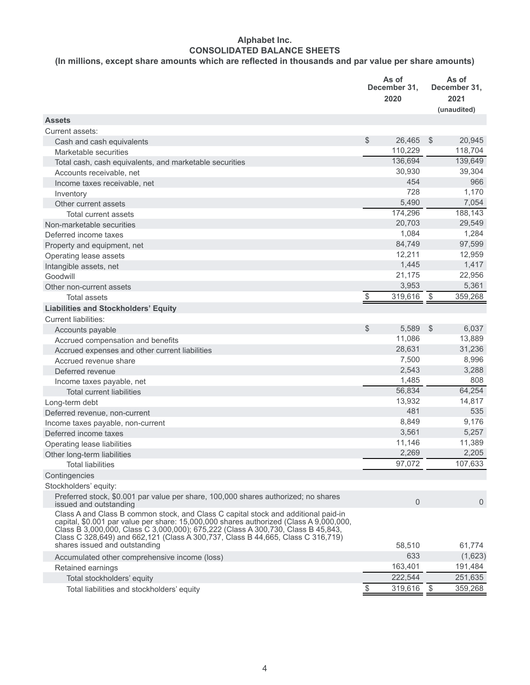## **Alphabet Inc. CONSOLIDATED BALANCE SHEETS**

## **(In millions, except share amounts which are reflected in thousands and par value per share amounts)**

|                                                                                                                                                                                                                                                                                                                                                                                      |                         | As of<br>December 31,<br>2020 |               | As of<br>December 31,<br>2021<br>(unaudited) |
|--------------------------------------------------------------------------------------------------------------------------------------------------------------------------------------------------------------------------------------------------------------------------------------------------------------------------------------------------------------------------------------|-------------------------|-------------------------------|---------------|----------------------------------------------|
| <b>Assets</b>                                                                                                                                                                                                                                                                                                                                                                        |                         |                               |               |                                              |
| Current assets:                                                                                                                                                                                                                                                                                                                                                                      |                         |                               |               |                                              |
| Cash and cash equivalents                                                                                                                                                                                                                                                                                                                                                            | \$                      | 26,465                        | $\mathcal{L}$ | 20,945                                       |
| Marketable securities                                                                                                                                                                                                                                                                                                                                                                |                         | 110,229                       |               | 118,704                                      |
| Total cash, cash equivalents, and marketable securities                                                                                                                                                                                                                                                                                                                              |                         | 136,694                       |               | 139,649                                      |
| Accounts receivable, net                                                                                                                                                                                                                                                                                                                                                             |                         | 30,930                        |               | 39,304                                       |
| Income taxes receivable, net                                                                                                                                                                                                                                                                                                                                                         |                         | 454                           |               | 966                                          |
| Inventory                                                                                                                                                                                                                                                                                                                                                                            |                         | 728                           |               | 1,170                                        |
| Other current assets                                                                                                                                                                                                                                                                                                                                                                 |                         | 5,490                         |               | 7,054                                        |
| Total current assets                                                                                                                                                                                                                                                                                                                                                                 |                         | 174,296                       |               | 188,143                                      |
| Non-marketable securities                                                                                                                                                                                                                                                                                                                                                            |                         | 20,703                        |               | 29,549                                       |
| Deferred income taxes                                                                                                                                                                                                                                                                                                                                                                |                         | 1,084                         |               | 1,284                                        |
| Property and equipment, net                                                                                                                                                                                                                                                                                                                                                          |                         | 84,749                        |               | 97,599                                       |
| Operating lease assets                                                                                                                                                                                                                                                                                                                                                               |                         | 12,211                        |               | 12,959                                       |
| Intangible assets, net                                                                                                                                                                                                                                                                                                                                                               |                         | 1,445                         |               | 1,417                                        |
| Goodwill                                                                                                                                                                                                                                                                                                                                                                             |                         | 21,175                        |               | 22,956                                       |
| Other non-current assets                                                                                                                                                                                                                                                                                                                                                             |                         | 3,953                         |               | 5,361                                        |
| <b>Total assets</b>                                                                                                                                                                                                                                                                                                                                                                  | $\sqrt[6]{\frac{1}{2}}$ | 319,616                       | $\frac{1}{2}$ | 359,268                                      |
| <b>Liabilities and Stockholders' Equity</b>                                                                                                                                                                                                                                                                                                                                          |                         |                               |               |                                              |
| <b>Current liabilities:</b>                                                                                                                                                                                                                                                                                                                                                          |                         |                               |               |                                              |
| Accounts payable                                                                                                                                                                                                                                                                                                                                                                     | \$                      | 5,589                         | \$            | 6,037                                        |
| Accrued compensation and benefits                                                                                                                                                                                                                                                                                                                                                    |                         | 11,086                        |               | 13,889                                       |
| Accrued expenses and other current liabilities                                                                                                                                                                                                                                                                                                                                       |                         | 28,631                        |               | 31,236                                       |
| Accrued revenue share                                                                                                                                                                                                                                                                                                                                                                |                         | 7,500                         |               | 8,996                                        |
| Deferred revenue                                                                                                                                                                                                                                                                                                                                                                     |                         | 2,543                         |               | 3,288                                        |
| Income taxes payable, net                                                                                                                                                                                                                                                                                                                                                            |                         | 1,485                         |               | 808                                          |
| <b>Total current liabilities</b>                                                                                                                                                                                                                                                                                                                                                     |                         | 56,834                        |               | 64,254                                       |
| Long-term debt                                                                                                                                                                                                                                                                                                                                                                       |                         | 13,932                        |               | 14,817                                       |
| Deferred revenue, non-current                                                                                                                                                                                                                                                                                                                                                        |                         | 481                           |               | 535                                          |
| Income taxes payable, non-current                                                                                                                                                                                                                                                                                                                                                    |                         | 8,849                         |               | 9,176                                        |
| Deferred income taxes                                                                                                                                                                                                                                                                                                                                                                |                         | 3,561                         |               | 5,257                                        |
| Operating lease liabilities                                                                                                                                                                                                                                                                                                                                                          |                         | 11,146                        |               | 11,389                                       |
| Other long-term liabilities                                                                                                                                                                                                                                                                                                                                                          |                         | 2,269                         |               | 2,205                                        |
| <b>Total liabilities</b>                                                                                                                                                                                                                                                                                                                                                             |                         | 97,072                        |               | 107,633                                      |
| Contingencies                                                                                                                                                                                                                                                                                                                                                                        |                         |                               |               |                                              |
| Stockholders' equity:                                                                                                                                                                                                                                                                                                                                                                |                         |                               |               |                                              |
| Preferred stock, \$0.001 par value per share, 100,000 shares authorized; no shares<br>issued and outstanding                                                                                                                                                                                                                                                                         |                         | $\overline{0}$                |               | $\mathbf 0$                                  |
| Class A and Class B common stock, and Class C capital stock and additional paid-in<br>capital, \$0.001 par value per share: 15,000,000 shares authorized (Class A 9,000,000,<br>Class B 3,000,000, Class C 3,000,000); 675,222 (Class A 300,730, Class B 45,843,<br>Class C 328,649) and 662,121 (Class A 300,737, Class B 44,665, Class C 316,719)<br>shares issued and outstanding |                         | 58,510                        |               | 61,774                                       |
|                                                                                                                                                                                                                                                                                                                                                                                      |                         | 633                           |               |                                              |
| Accumulated other comprehensive income (loss)                                                                                                                                                                                                                                                                                                                                        |                         |                               |               | (1,623)                                      |
| Retained earnings                                                                                                                                                                                                                                                                                                                                                                    |                         | 163,401                       |               | 191,484                                      |
| Total stockholders' equity                                                                                                                                                                                                                                                                                                                                                           |                         | 222,544                       |               | 251,635                                      |
| Total liabilities and stockholders' equity                                                                                                                                                                                                                                                                                                                                           | \$                      | 319,616                       | \$            | 359,268                                      |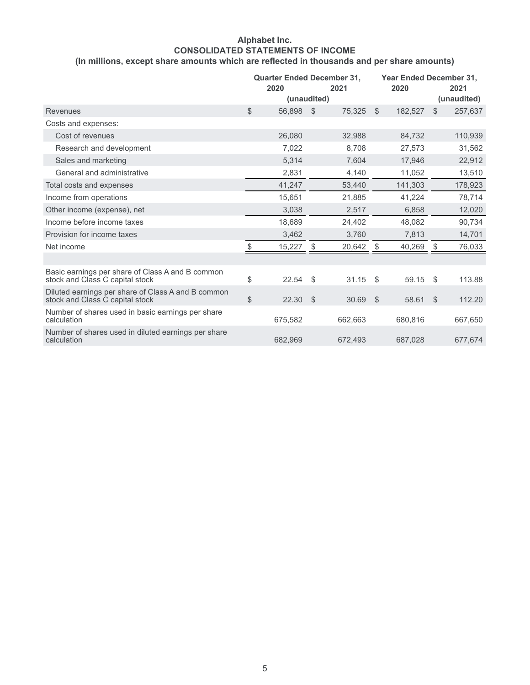## **Alphabet Inc. CONSOLIDATED STATEMENTS OF INCOME (In millions, except share amounts which are reflected in thousands and per share amounts)**

|                                                                                       | <b>Quarter Ended December 31,</b><br>2020<br>(unaudited) |               | 2021    |      | Year Ended December 31,<br>2020 |               | 2021<br>(unaudited) |
|---------------------------------------------------------------------------------------|----------------------------------------------------------|---------------|---------|------|---------------------------------|---------------|---------------------|
| <b>Revenues</b>                                                                       | \$<br>56,898                                             | $\mathcal{S}$ | 75,325  | \$   | 182,527                         | $\mathbb{S}$  | 257,637             |
| Costs and expenses:                                                                   |                                                          |               |         |      |                                 |               |                     |
| Cost of revenues                                                                      | 26,080                                                   |               | 32,988  |      | 84,732                          |               | 110,939             |
| Research and development                                                              | 7,022                                                    |               | 8.708   |      | 27,573                          |               | 31,562              |
| Sales and marketing                                                                   | 5,314                                                    |               | 7.604   |      | 17.946                          |               | 22,912              |
| General and administrative                                                            | 2,831                                                    |               | 4,140   |      | 11,052                          |               | 13,510              |
| Total costs and expenses                                                              | 41,247                                                   |               | 53,440  |      | 141,303                         |               | 178,923             |
| Income from operations                                                                | 15,651                                                   |               | 21,885  |      | 41,224                          |               | 78,714              |
| Other income (expense), net                                                           | 3,038                                                    |               | 2,517   |      | 6,858                           |               | 12,020              |
| Income before income taxes                                                            | 18,689                                                   |               | 24,402  |      | 48,082                          |               | 90,734              |
| Provision for income taxes                                                            | 3,462                                                    |               | 3,760   |      | 7,813                           |               | 14,701              |
| Net income                                                                            | \$<br>15,227                                             | \$            | 20,642  | -\$  | 40,269                          | \$            | 76,033              |
|                                                                                       |                                                          |               |         |      |                                 |               |                     |
| Basic earnings per share of Class A and B common<br>stock and Class C capital stock   | \$<br>22.54                                              | \$            | 31.15   | - \$ | 59.15                           | \$            | 113.88              |
| Diluted earnings per share of Class A and B common<br>stock and Class C capital stock | \$<br>22.30                                              | $\mathcal{S}$ | 30.69   | \$   | 58.61                           | $\mathcal{S}$ | 112.20              |
| Number of shares used in basic earnings per share<br>calculation                      | 675,582                                                  |               | 662,663 |      | 680,816                         |               | 667,650             |
| Number of shares used in diluted earnings per share<br>calculation                    | 682.969                                                  |               | 672.493 |      | 687,028                         |               | 677,674             |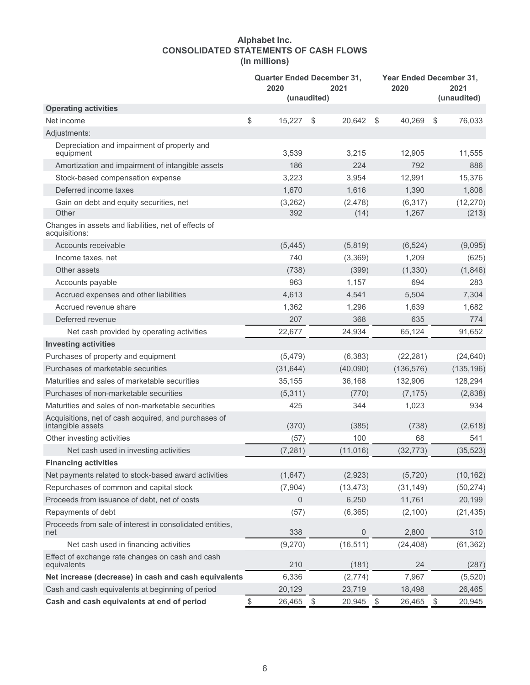## **Alphabet Inc. CONSOLIDATED STATEMENTS OF CASH FLOWS (In millions)**

|                                                                           | 2020         | <b>Quarter Ended December 31,</b><br>2021<br>(unaudited) | 2020                    | <b>Year Ended December 31.</b><br>2021 |
|---------------------------------------------------------------------------|--------------|----------------------------------------------------------|-------------------------|----------------------------------------|
| <b>Operating activities</b>                                               |              |                                                          |                         | (unaudited)                            |
| Net income                                                                | \$<br>15,227 | \$<br>20,642                                             | \$<br>40,269            | \$<br>76,033                           |
| Adjustments:                                                              |              |                                                          |                         |                                        |
| Depreciation and impairment of property and<br>equipment                  | 3,539        | 3,215                                                    | 12,905                  | 11,555                                 |
| Amortization and impairment of intangible assets                          | 186          | 224                                                      | 792                     | 886                                    |
| Stock-based compensation expense                                          | 3,223        | 3,954                                                    | 12,991                  | 15,376                                 |
| Deferred income taxes                                                     | 1,670        | 1,616                                                    | 1,390                   | 1,808                                  |
| Gain on debt and equity securities, net                                   | (3,262)      | (2, 478)                                                 | (6, 317)                | (12, 270)                              |
| Other                                                                     | 392          | (14)                                                     | 1,267                   | (213)                                  |
| Changes in assets and liabilities, net of effects of<br>acquisitions:     |              |                                                          |                         |                                        |
| Accounts receivable                                                       | (5, 445)     | (5,819)                                                  | (6, 524)                | (9,095)                                |
| Income taxes, net                                                         | 740          | (3,369)                                                  | 1,209                   | (625)                                  |
| Other assets                                                              | (738)        | (399)                                                    | (1, 330)                | (1,846)                                |
| Accounts payable                                                          | 963          | 1,157                                                    | 694                     | 283                                    |
| Accrued expenses and other liabilities                                    | 4,613        | 4,541                                                    | 5,504                   | 7,304                                  |
| Accrued revenue share                                                     | 1,362        | 1,296                                                    | 1,639                   | 1,682                                  |
| Deferred revenue                                                          | 207          | 368                                                      | 635                     | 774                                    |
| Net cash provided by operating activities                                 | 22,677       | 24,934                                                   | 65,124                  | 91,652                                 |
| <b>Investing activities</b>                                               |              |                                                          |                         |                                        |
| Purchases of property and equipment                                       | (5, 479)     | (6, 383)                                                 | (22, 281)               | (24, 640)                              |
| Purchases of marketable securities                                        | (31, 644)    | (40,090)                                                 | (136, 576)              | (135, 196)                             |
| Maturities and sales of marketable securities                             | 35,155       | 36,168                                                   | 132,906                 | 128,294                                |
| Purchases of non-marketable securities                                    | (5,311)      | (770)                                                    | (7, 175)                | (2,838)                                |
| Maturities and sales of non-marketable securities                         | 425          | 344                                                      | 1,023                   | 934                                    |
| Acquisitions, net of cash acquired, and purchases of<br>intangible assets | (370)        | (385)                                                    | (738)                   | (2,618)                                |
| Other investing activities                                                | (57)         | 100                                                      | 68                      | 541                                    |
| Net cash used in investing activities                                     | (7, 281)     | (11, 016)                                                | (32, 773)               | (35, 523)                              |
| <b>Financing activities</b>                                               |              |                                                          |                         |                                        |
| Net payments related to stock-based award activities                      | (1,647)      | (2,923)                                                  | (5,720)                 | (10, 162)                              |
| Repurchases of common and capital stock                                   | (7,904)      | (13, 473)                                                | (31, 149)               | (50, 274)                              |
| Proceeds from issuance of debt, net of costs                              | $\mathbf 0$  | 6,250                                                    | 11,761                  | 20,199                                 |
| Repayments of debt                                                        | (57)         | (6, 365)                                                 | (2,100)                 | (21, 435)                              |
| Proceeds from sale of interest in consolidated entities,<br>net           | 338          | 0                                                        | 2,800                   | 310                                    |
| Net cash used in financing activities                                     | (9,270)      | (16, 511)                                                | (24, 408)               | (61, 362)                              |
| Effect of exchange rate changes on cash and cash<br>equivalents           | 210          | (181)                                                    | 24                      | (287)                                  |
| Net increase (decrease) in cash and cash equivalents                      | 6,336        | (2,774)                                                  | 7,967                   | (5, 520)                               |
| Cash and cash equivalents at beginning of period                          | 20,129       | 23,719                                                   | 18,498                  | 26,465                                 |
| Cash and cash equivalents at end of period                                | \$<br>26,465 | $\sqrt[6]{\frac{1}{2}}$<br>20,945                        | $\sqrt[6]{3}$<br>26,465 | \$<br>20,945                           |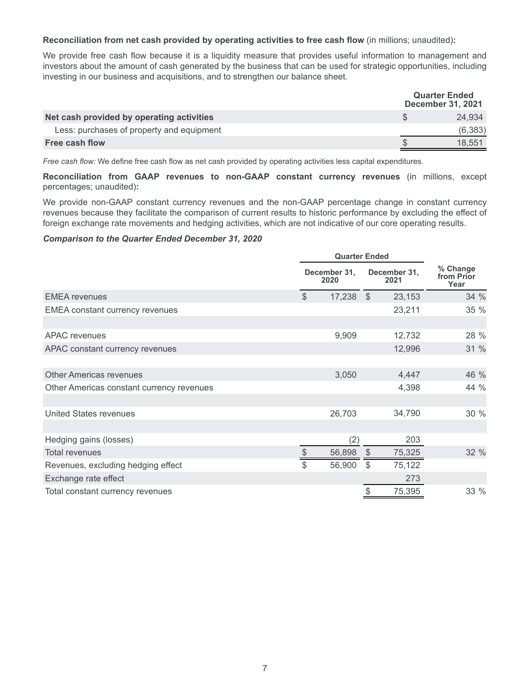**Reconciliation from net cash provided by operating activities to free cash flow** (in millions; unaudited)**:**

We provide free cash flow because it is a liquidity measure that provides useful information to management and investors about the amount of cash generated by the business that can be used for strategic opportunities, including investing in our business and acquisitions, and to strengthen our balance sheet.

|                                           | <b>Quarter Ended</b><br><b>December 31, 2021</b> |
|-------------------------------------------|--------------------------------------------------|
| Net cash provided by operating activities | 24.934                                           |
| Less: purchases of property and equipment | (6,383)                                          |
| Free cash flow                            | 18.551                                           |

*Free cash flow:* We define free cash flow as net cash provided by operating activities less capital expenditures.

**Reconciliation from GAAP revenues to non-GAAP constant currency revenues** (in millions, except percentages; unaudited)**:**

We provide non-GAAP constant currency revenues and the non-GAAP percentage change in constant currency revenues because they facilitate the comparison of current results to historic performance by excluding the effect of foreign exchange rate movements and hedging activities, which are not indicative of our core operating results.

#### *Comparison to the Quarter Ended December 31, 2020*

|                                           |               | <b>Quarter Ended</b> |               |                      |                                |
|-------------------------------------------|---------------|----------------------|---------------|----------------------|--------------------------------|
|                                           |               | December 31,<br>2020 |               | December 31,<br>2021 | % Change<br>from Prior<br>Year |
| <b>EMEA</b> revenues                      | $\mathcal{S}$ | $17,238$ \$          |               | 23,153               | 34 %                           |
| <b>EMEA</b> constant currency revenues    |               |                      |               | 23,211               | 35 %                           |
|                                           |               |                      |               |                      |                                |
| <b>APAC</b> revenues                      |               | 9,909                |               | 12,732               | 28 %                           |
| APAC constant currency revenues           |               |                      |               | 12,996               | 31 %                           |
|                                           |               |                      |               |                      |                                |
| <b>Other Americas revenues</b>            |               | 3,050                |               | 4,447                | 46 %                           |
| Other Americas constant currency revenues |               |                      |               | 4,398                | 44 %                           |
|                                           |               |                      |               |                      |                                |
| <b>United States revenues</b>             |               | 26,703               |               | 34,790               | 30 %                           |
|                                           |               |                      |               |                      |                                |
| Hedging gains (losses)                    |               | (2)                  |               | 203                  |                                |
| <b>Total revenues</b>                     | $\frac{1}{2}$ | 56,898               | $\sqrt{2}$    | 75,325               | 32 %                           |
| Revenues, excluding hedging effect        | \$            | 56,900               | \$            | 75,122               |                                |
| Exchange rate effect                      |               |                      |               | 273                  |                                |
| Total constant currency revenues          |               |                      | $\mathcal{L}$ | 75,395               | 33 %                           |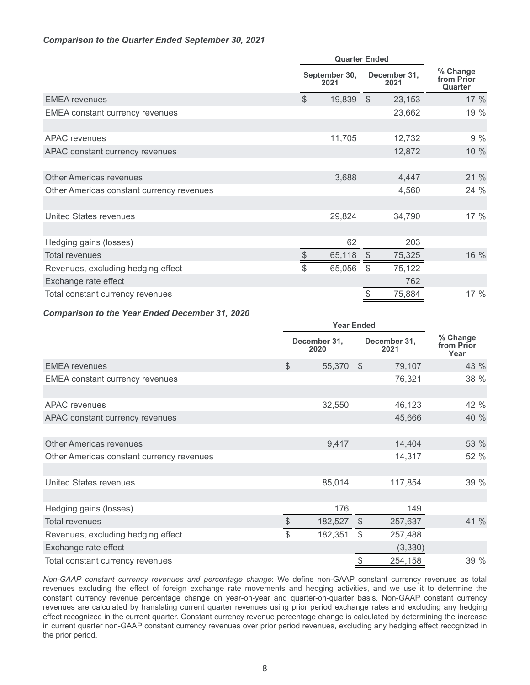## *Comparison to the Quarter Ended September 30, 2021*

|                                           | <b>Quarter Ended</b> |                       |              |                      |                                   |
|-------------------------------------------|----------------------|-----------------------|--------------|----------------------|-----------------------------------|
|                                           |                      | September 30,<br>2021 |              | December 31,<br>2021 | % Change<br>from Prior<br>Quarter |
| <b>EMEA</b> revenues                      | $\mathcal{S}$        | 19,839                | $\mathbb{S}$ | 23,153               | 17 %                              |
| <b>EMEA</b> constant currency revenues    |                      |                       |              | 23,662               | 19 %                              |
|                                           |                      |                       |              |                      |                                   |
| APAC revenues                             |                      | 11,705                |              | 12,732               | 9%                                |
| APAC constant currency revenues           |                      |                       |              | 12,872               | 10 %                              |
|                                           |                      |                       |              |                      |                                   |
| <b>Other Americas revenues</b>            |                      | 3,688                 |              | 4,447                | 21 %                              |
| Other Americas constant currency revenues |                      |                       |              | 4,560                | 24 %                              |
|                                           |                      |                       |              |                      |                                   |
| <b>United States revenues</b>             |                      | 29,824                |              | 34,790               | 17 %                              |
|                                           |                      |                       |              |                      |                                   |
| Hedging gains (losses)                    |                      | 62                    |              | 203                  |                                   |
| <b>Total revenues</b>                     | \$                   | 65,118                | - \$         | 75,325               | 16 %                              |
| Revenues, excluding hedging effect        | \$                   | 65,056                | \$           | 75,122               |                                   |
| Exchange rate effect                      |                      |                       |              | 762                  |                                   |
| Total constant currency revenues          |                      |                       | \$           | 75,884               | 17%                               |

#### *Comparison to the Year Ended December 31, 2020*

|                                           |               | <b>Year Ended</b>    |               |                      |                                |
|-------------------------------------------|---------------|----------------------|---------------|----------------------|--------------------------------|
|                                           |               | December 31,<br>2020 |               | December 31,<br>2021 | % Change<br>from Prior<br>Year |
| <b>EMEA</b> revenues                      | $\mathcal{L}$ | 55,370               | $\mathcal{L}$ | 79,107               | 43 %                           |
| <b>EMEA</b> constant currency revenues    |               |                      |               | 76,321               | 38 %                           |
|                                           |               |                      |               |                      |                                |
| <b>APAC</b> revenues                      |               | 32,550               |               | 46,123               | 42 %                           |
| APAC constant currency revenues           |               |                      |               | 45,666               | 40 %                           |
|                                           |               |                      |               |                      |                                |
| <b>Other Americas revenues</b>            |               | 9,417                |               | 14,404               | 53 %                           |
| Other Americas constant currency revenues |               |                      |               | 14,317               | 52 %                           |
|                                           |               |                      |               |                      |                                |
| <b>United States revenues</b>             |               | 85,014               |               | 117,854              | 39 %                           |
|                                           |               |                      |               |                      |                                |
| Hedging gains (losses)                    |               | 176                  |               | 149                  |                                |
| <b>Total revenues</b>                     | $\frac{1}{2}$ | 182,527              | $\$\$         | 257,637              | 41 %                           |
| Revenues, excluding hedging effect        | \$            | 182,351              | \$            | 257,488              |                                |
| Exchange rate effect                      |               |                      |               | (3, 330)             |                                |
| Total constant currency revenues          |               |                      | $\frac{1}{2}$ | 254,158              | 39 %                           |

*Non-GAAP constant currency revenues and percentage change*: We define non-GAAP constant currency revenues as total revenues excluding the effect of foreign exchange rate movements and hedging activities, and we use it to determine the constant currency revenue percentage change on year-on-year and quarter-on-quarter basis. Non-GAAP constant currency revenues are calculated by translating current quarter revenues using prior period exchange rates and excluding any hedging effect recognized in the current quarter. Constant currency revenue percentage change is calculated by determining the increase in current quarter non-GAAP constant currency revenues over prior period revenues, excluding any hedging effect recognized in the prior period.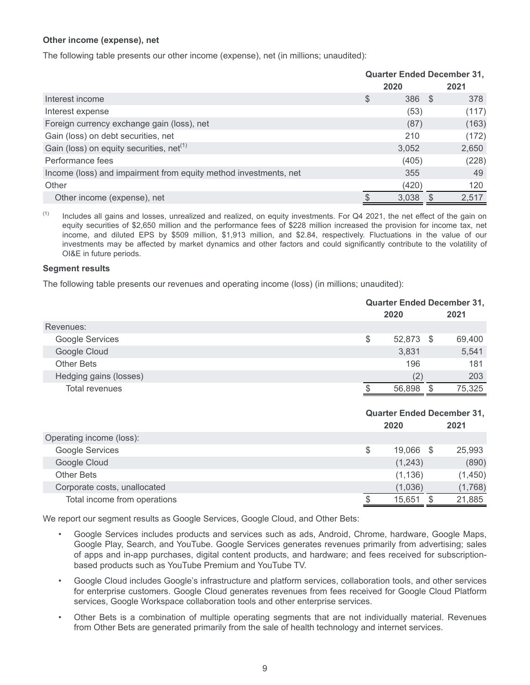## **Other income (expense), net**

The following table presents our other income (expense), net (in millions; unaudited):

|                                                                  |               | <b>Quarter Ended December 31,</b> |       |
|------------------------------------------------------------------|---------------|-----------------------------------|-------|
|                                                                  |               | 2020                              | 2021  |
| Interest income                                                  | $\frac{1}{2}$ | 386 \$                            | 378   |
| Interest expense                                                 |               | (53)                              | (117) |
| Foreign currency exchange gain (loss), net                       |               | (87)                              | (163) |
| Gain (loss) on debt securities, net                              |               | 210                               | (172) |
| Gain (loss) on equity securities, net <sup>(1)</sup>             |               | 3,052                             | 2,650 |
| Performance fees                                                 |               | (405)                             | (228) |
| Income (loss) and impairment from equity method investments, net |               | 355                               | 49    |
| Other                                                            |               | (420)                             | 120   |
| Other income (expense), net                                      |               | 3,038                             | 2,517 |

 $(1)$  Includes all gains and losses, unrealized and realized, on equity investments. For Q4 2021, the net effect of the gain on equity securities of \$2,650 million and the performance fees of \$228 million increased the provision for income tax, net income, and diluted EPS by \$509 million, \$1,913 million, and \$2.84, respectively. Fluctuations in the value of our investments may be affected by market dynamics and other factors and could significantly contribute to the volatility of OI&E in future periods.

### **Segment results**

The following table presents our revenues and operating income (loss) (in millions; unaudited):

|                              |       | <b>Quarter Ended December 31,</b> |      |         |
|------------------------------|-------|-----------------------------------|------|---------|
|                              |       | 2020                              |      | 2021    |
| Revenues:                    |       |                                   |      |         |
| Google Services              | \$    | 52,873                            | - \$ | 69,400  |
| Google Cloud                 |       | 3,831                             |      | 5,541   |
| <b>Other Bets</b>            |       | 196                               |      | 181     |
| Hedging gains (losses)       |       | (2)                               |      | 203     |
| Total revenues               | \$.   | 56,898                            | \$   | 75,325  |
|                              |       |                                   |      |         |
|                              |       |                                   |      |         |
|                              |       | <b>Quarter Ended December 31,</b> |      |         |
|                              |       | 2020                              |      | 2021    |
| Operating income (loss):     |       |                                   |      |         |
| Google Services              | $\$\$ | 19,066 \$                         |      | 25,993  |
| Google Cloud                 |       | (1,243)                           |      | (890)   |
| <b>Other Bets</b>            |       | (1, 136)                          |      | (1,450) |
| Corporate costs, unallocated |       | (1,036)                           |      | (1,768) |

We report our segment results as Google Services, Google Cloud, and Other Bets:

- Google Services includes products and services such as ads, Android, Chrome, hardware, Google Maps, Google Play, Search, and YouTube. Google Services generates revenues primarily from advertising; sales of apps and in-app purchases, digital content products, and hardware; and fees received for subscriptionbased products such as YouTube Premium and YouTube TV.
- Google Cloud includes Google's infrastructure and platform services, collaboration tools, and other services for enterprise customers. Google Cloud generates revenues from fees received for Google Cloud Platform services, Google Workspace collaboration tools and other enterprise services.
- Other Bets is a combination of multiple operating segments that are not individually material. Revenues from Other Bets are generated primarily from the sale of health technology and internet services.